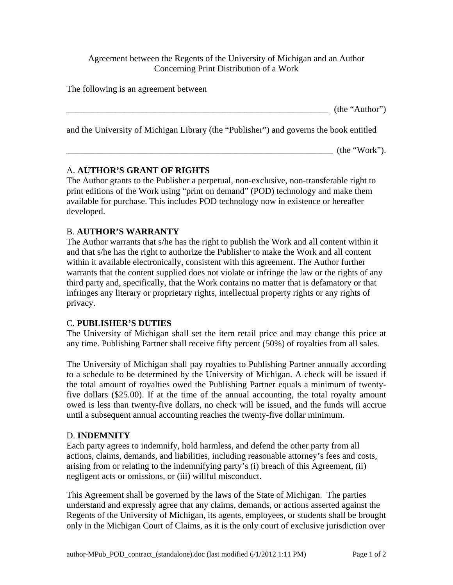Agreement between the Regents of the University of Michigan and an Author Concerning Print Distribution of a Work

The following is an agreement between

|                                                                                        | (the "Author") |
|----------------------------------------------------------------------------------------|----------------|
| and the University of Michigan Library (the "Publisher") and governs the book entitled |                |
|                                                                                        | (the "Work").  |

# A. **AUTHOR'S GRANT OF RIGHTS**

The Author grants to the Publisher a perpetual, non-exclusive, non-transferable right to print editions of the Work using "print on demand" (POD) technology and make them available for purchase. This includes POD technology now in existence or hereafter developed.

# B. **AUTHOR'S WARRANTY**

The Author warrants that s/he has the right to publish the Work and all content within it and that s/he has the right to authorize the Publisher to make the Work and all content within it available electronically, consistent with this agreement. The Author further warrants that the content supplied does not violate or infringe the law or the rights of any third party and, specifically, that the Work contains no matter that is defamatory or that infringes any literary or proprietary rights, intellectual property rights or any rights of privacy.

# C. **PUBLISHER'S DUTIES**

The University of Michigan shall set the item retail price and may change this price at any time. Publishing Partner shall receive fifty percent (50%) of royalties from all sales.

The University of Michigan shall pay royalties to Publishing Partner annually according to a schedule to be determined by the University of Michigan. A check will be issued if the total amount of royalties owed the Publishing Partner equals a minimum of twentyfive dollars (\$25.00). If at the time of the annual accounting, the total royalty amount owed is less than twenty-five dollars, no check will be issued, and the funds will accrue until a subsequent annual accounting reaches the twenty-five dollar minimum.

#### D. **INDEMNITY**

Each party agrees to indemnify, hold harmless, and defend the other party from all actions, claims, demands, and liabilities, including reasonable attorney's fees and costs, arising from or relating to the indemnifying party's (i) breach of this Agreement, (ii) negligent acts or omissions, or (iii) willful misconduct.

This Agreement shall be governed by the laws of the State of Michigan. The parties understand and expressly agree that any claims, demands, or actions asserted against the Regents of the University of Michigan, its agents, employees, or students shall be brought only in the Michigan Court of Claims, as it is the only court of exclusive jurisdiction over